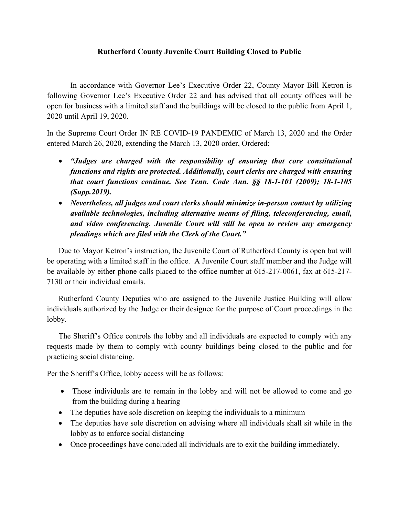## **Rutherford County Juvenile Court Building Closed to Public**

In accordance with Governor Lee's Executive Order 22, County Mayor Bill Ketron is following Governor Lee's Executive Order 22 and has advised that all county offices will be open for business with a limited staff and the buildings will be closed to the public from April 1, 2020 until April 19, 2020.

In the Supreme Court Order IN RE COVID-19 PANDEMIC of March 13, 2020 and the Order entered March 26, 2020, extending the March 13, 2020 order, Ordered:

- *"Judges are charged with the responsibility of ensuring that core constitutional functions and rights are protected. Additionally, court clerks are charged with ensuring that court functions continue. See Tenn. Code Ann. §§ 18-1-101 (2009); 18-1-105 (Supp.2019).*
- *Nevertheless, all judges and court clerks should minimize in-person contact by utilizing available technologies, including alternative means of filing, teleconferencing, email, and video conferencing. Juvenile Court will still be open to review any emergency pleadings which are filed with the Clerk of the Court."*

Due to Mayor Ketron's instruction, the Juvenile Court of Rutherford County is open but will be operating with a limited staff in the office. A Juvenile Court staff member and the Judge will be available by either phone calls placed to the office number at 615-217-0061, fax at 615-217- 7130 or their individual emails.

Rutherford County Deputies who are assigned to the Juvenile Justice Building will allow individuals authorized by the Judge or their designee for the purpose of Court proceedings in the lobby.

The Sheriff's Office controls the lobby and all individuals are expected to comply with any requests made by them to comply with county buildings being closed to the public and for practicing social distancing.

Per the Sheriff's Office, lobby access will be as follows:

- Those individuals are to remain in the lobby and will not be allowed to come and go from the building during a hearing
- The deputies have sole discretion on keeping the individuals to a minimum
- The deputies have sole discretion on advising where all individuals shall sit while in the lobby as to enforce social distancing
- Once proceedings have concluded all individuals are to exit the building immediately.